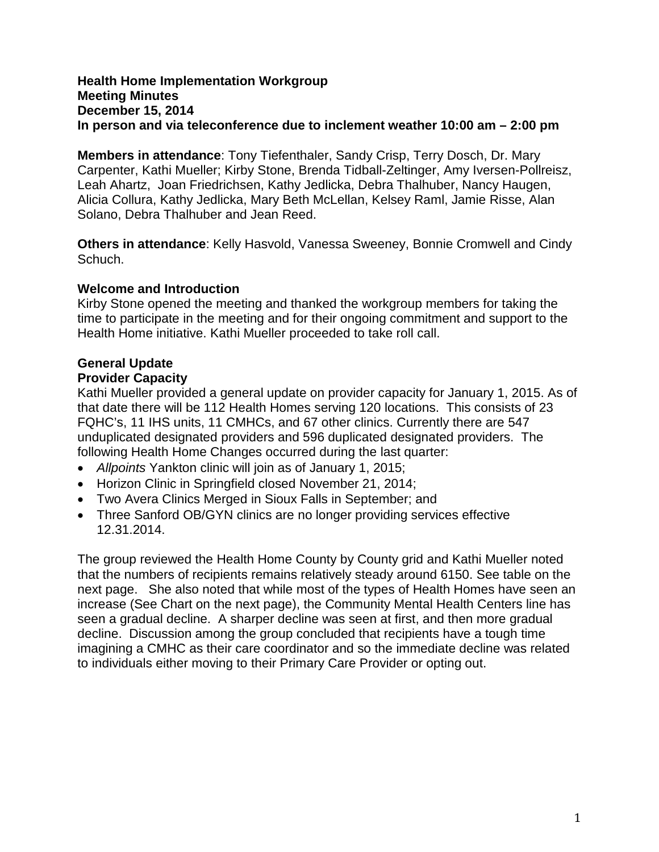#### **Health Home Implementation Workgroup Meeting Minutes December 15, 2014 In person and via teleconference due to inclement weather 10:00 am – 2:00 pm**

**Members in attendance**: Tony Tiefenthaler, Sandy Crisp, Terry Dosch, Dr. Mary Carpenter, Kathi Mueller; Kirby Stone, Brenda Tidball-Zeltinger, Amy Iversen-Pollreisz, Leah Ahartz, Joan Friedrichsen, Kathy Jedlicka, Debra Thalhuber, Nancy Haugen, Alicia Collura, Kathy Jedlicka, Mary Beth McLellan, Kelsey Raml, Jamie Risse, Alan Solano, Debra Thalhuber and Jean Reed.

**Others in attendance**: Kelly Hasvold, Vanessa Sweeney, Bonnie Cromwell and Cindy Schuch.

## **Welcome and Introduction**

Kirby Stone opened the meeting and thanked the workgroup members for taking the time to participate in the meeting and for their ongoing commitment and support to the Health Home initiative. Kathi Mueller proceeded to take roll call.

# **General Update**

# **Provider Capacity**

Kathi Mueller provided a general update on provider capacity for January 1, 2015. As of that date there will be 112 Health Homes serving 120 locations. This consists of 23 FQHC's, 11 IHS units, 11 CMHCs, and 67 other clinics. Currently there are 547 unduplicated designated providers and 596 duplicated designated providers. The following Health Home Changes occurred during the last quarter:

- *Allpoints* Yankton clinic will join as of January 1, 2015;
- Horizon Clinic in Springfield closed November 21, 2014;
- Two Avera Clinics Merged in Sioux Falls in September; and
- Three Sanford OB/GYN clinics are no longer providing services effective 12.31.2014.

The group reviewed the Health Home County by County grid and Kathi Mueller noted that the numbers of recipients remains relatively steady around 6150. See table on the next page. She also noted that while most of the types of Health Homes have seen an increase (See Chart on the next page), the Community Mental Health Centers line has seen a gradual decline. A sharper decline was seen at first, and then more gradual decline. Discussion among the group concluded that recipients have a tough time imagining a CMHC as their care coordinator and so the immediate decline was related to individuals either moving to their Primary Care Provider or opting out.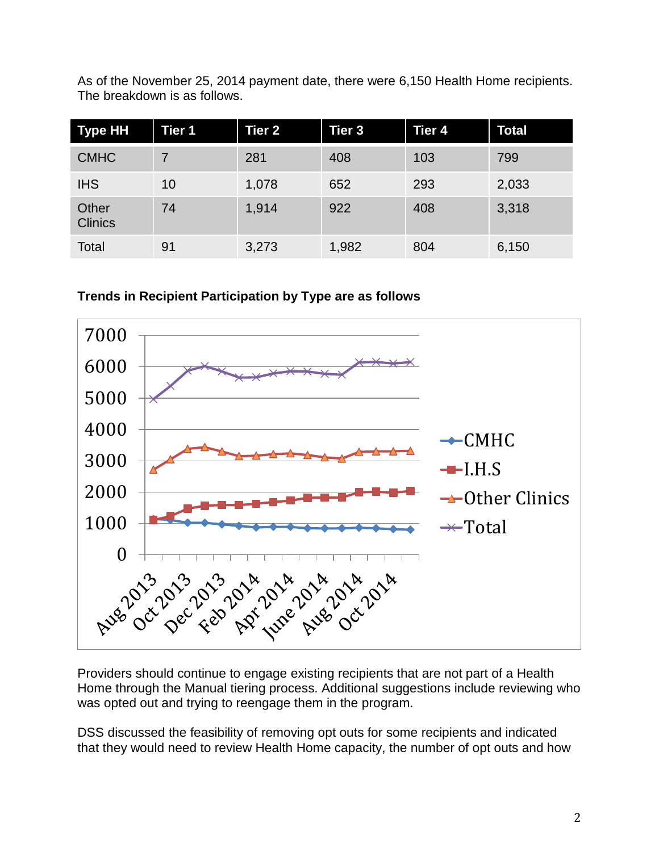As of the November 25, 2014 payment date, there were 6,150 Health Home recipients. The breakdown is as follows.

| <b>Type HH</b>          | Tier 1 | <b>Tier 2</b> | Tier 3 | <b>Tier 4</b> | <b>Total</b> |
|-------------------------|--------|---------------|--------|---------------|--------------|
| <b>CMHC</b>             |        | 281           | 408    | 103           | 799          |
| <b>IHS</b>              | 10     | 1,078         | 652    | 293           | 2,033        |
| Other<br><b>Clinics</b> | 74     | 1,914         | 922    | 408           | 3,318        |
| Total                   | 91     | 3,273         | 1,982  | 804           | 6,150        |

**Trends in Recipient Participation by Type are as follows**



Providers should continue to engage existing recipients that are not part of a Health Home through the Manual tiering process. Additional suggestions include reviewing who was opted out and trying to reengage them in the program.

DSS discussed the feasibility of removing opt outs for some recipients and indicated that they would need to review Health Home capacity, the number of opt outs and how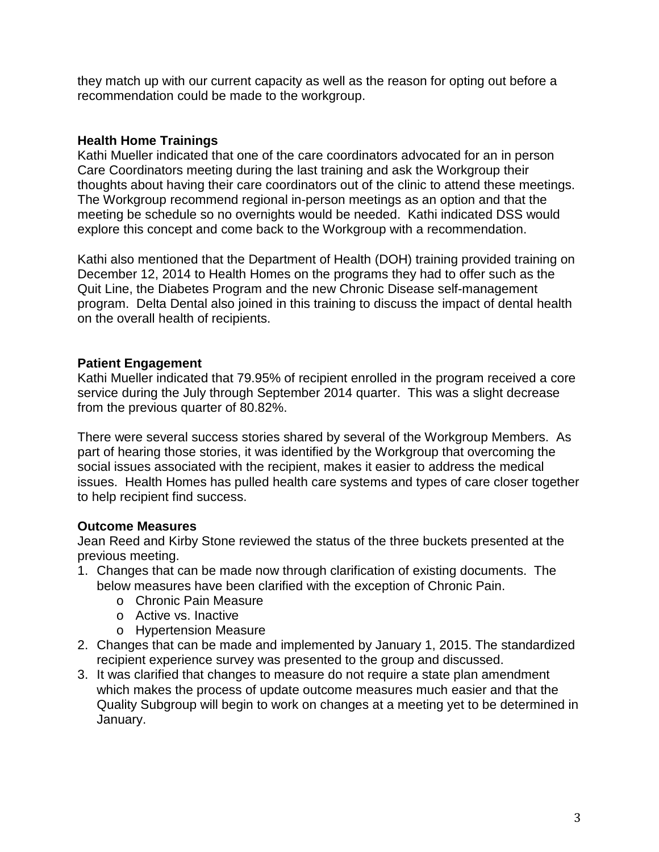they match up with our current capacity as well as the reason for opting out before a recommendation could be made to the workgroup.

## **Health Home Trainings**

Kathi Mueller indicated that one of the care coordinators advocated for an in person Care Coordinators meeting during the last training and ask the Workgroup their thoughts about having their care coordinators out of the clinic to attend these meetings. The Workgroup recommend regional in-person meetings as an option and that the meeting be schedule so no overnights would be needed. Kathi indicated DSS would explore this concept and come back to the Workgroup with a recommendation.

Kathi also mentioned that the Department of Health (DOH) training provided training on December 12, 2014 to Health Homes on the programs they had to offer such as the Quit Line, the Diabetes Program and the new Chronic Disease self-management program. Delta Dental also joined in this training to discuss the impact of dental health on the overall health of recipients.

## **Patient Engagement**

Kathi Mueller indicated that 79.95% of recipient enrolled in the program received a core service during the July through September 2014 quarter. This was a slight decrease from the previous quarter of 80.82%.

There were several success stories shared by several of the Workgroup Members. As part of hearing those stories, it was identified by the Workgroup that overcoming the social issues associated with the recipient, makes it easier to address the medical issues. Health Homes has pulled health care systems and types of care closer together to help recipient find success.

## **Outcome Measures**

Jean Reed and Kirby Stone reviewed the status of the three buckets presented at the previous meeting.

- 1. Changes that can be made now through clarification of existing documents. The below measures have been clarified with the exception of Chronic Pain.
	- o Chronic Pain Measure
	- o Active vs. Inactive
	- o Hypertension Measure
- 2. Changes that can be made and implemented by January 1, 2015. The standardized recipient experience survey was presented to the group and discussed.
- 3. It was clarified that changes to measure do not require a state plan amendment which makes the process of update outcome measures much easier and that the Quality Subgroup will begin to work on changes at a meeting yet to be determined in January.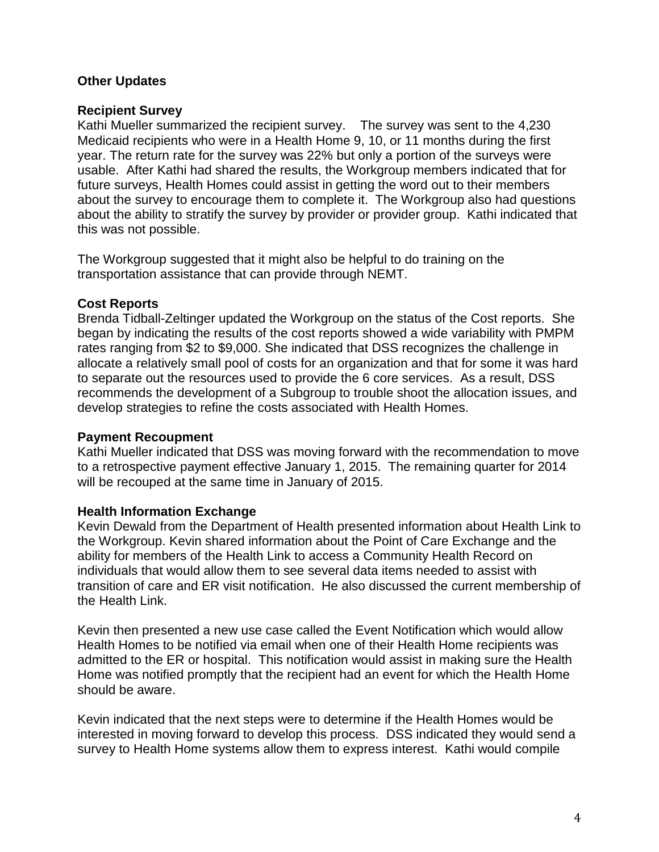## **Other Updates**

#### **Recipient Survey**

Kathi Mueller summarized the recipient survey. The survey was sent to the 4,230 Medicaid recipients who were in a Health Home 9, 10, or 11 months during the first year. The return rate for the survey was 22% but only a portion of the surveys were usable. After Kathi had shared the results, the Workgroup members indicated that for future surveys, Health Homes could assist in getting the word out to their members about the survey to encourage them to complete it. The Workgroup also had questions about the ability to stratify the survey by provider or provider group. Kathi indicated that this was not possible.

The Workgroup suggested that it might also be helpful to do training on the transportation assistance that can provide through NEMT.

#### **Cost Reports**

Brenda Tidball-Zeltinger updated the Workgroup on the status of the Cost reports. She began by indicating the results of the cost reports showed a wide variability with PMPM rates ranging from \$2 to \$9,000. She indicated that DSS recognizes the challenge in allocate a relatively small pool of costs for an organization and that for some it was hard to separate out the resources used to provide the 6 core services. As a result, DSS recommends the development of a Subgroup to trouble shoot the allocation issues, and develop strategies to refine the costs associated with Health Homes.

#### **Payment Recoupment**

Kathi Mueller indicated that DSS was moving forward with the recommendation to move to a retrospective payment effective January 1, 2015. The remaining quarter for 2014 will be recouped at the same time in January of 2015.

#### **Health Information Exchange**

Kevin Dewald from the Department of Health presented information about Health Link to the Workgroup. Kevin shared information about the Point of Care Exchange and the ability for members of the Health Link to access a Community Health Record on individuals that would allow them to see several data items needed to assist with transition of care and ER visit notification. He also discussed the current membership of the Health Link.

Kevin then presented a new use case called the Event Notification which would allow Health Homes to be notified via email when one of their Health Home recipients was admitted to the ER or hospital. This notification would assist in making sure the Health Home was notified promptly that the recipient had an event for which the Health Home should be aware.

Kevin indicated that the next steps were to determine if the Health Homes would be interested in moving forward to develop this process. DSS indicated they would send a survey to Health Home systems allow them to express interest. Kathi would compile